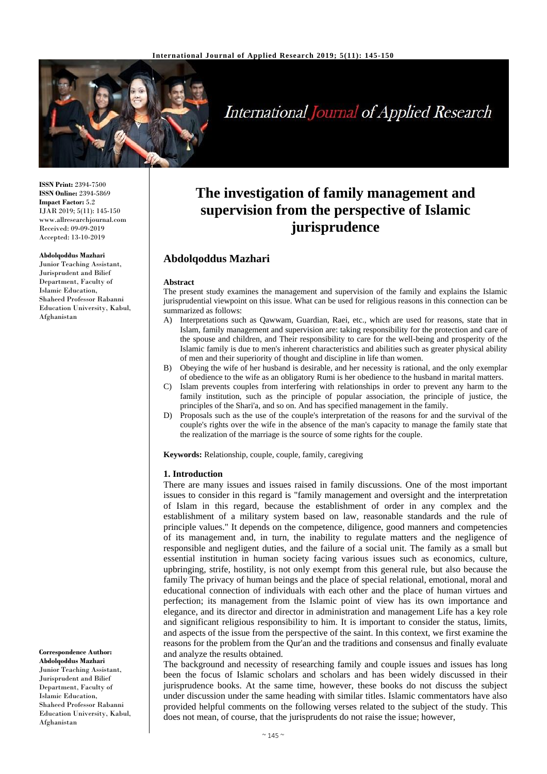

# **International Journal of Applied Research**

**ISSN Print:** 2394-7500 **ISSN Online:** 2394-5869 **Impact Factor:** 5.2 IJAR 2019; 5(11): 145-150 www.allresearchjournal.com Received: 09-09-2019 Accepted: 13-10-2019

#### **Abdolqoddus Mazhari**

Junior Teaching Assistant, Jurisprudent and Bilief Department, Faculty of Islamic Education, Shaheed Professor Rabanni Education University, Kabul, Afghanistan

**Abdolqoddus Mazhari** Junior Teaching Assistant, Jurisprudent and Bilief Department, Faculty of Islamic Education, Shaheed Professor Rabanni Education University, Kabul, Afghanistan

**Correspondence Author:**

# **The investigation of family management and supervision from the perspective of Islamic jurisprudence**

## **Abdolqoddus Mazhari**

#### **Abstract**

The present study examines the management and supervision of the family and explains the Islamic jurisprudential viewpoint on this issue. What can be used for religious reasons in this connection can be summarized as follows:

- A) Interpretations such as Qawwam, Guardian, Raei, etc., which are used for reasons, state that in Islam, family management and supervision are: taking responsibility for the protection and care of the spouse and children, and Their responsibility to care for the well-being and prosperity of the Islamic family is due to men's inherent characteristics and abilities such as greater physical ability of men and their superiority of thought and discipline in life than women.
- B) Obeying the wife of her husband is desirable, and her necessity is rational, and the only exemplar of obedience to the wife as an obligatory Rumi is her obedience to the husband in marital matters.
- C) Islam prevents couples from interfering with relationships in order to prevent any harm to the family institution, such as the principle of popular association, the principle of justice, the principles of the Shari'a, and so on. And has specified management in the family.
- D) Proposals such as the use of the couple's interpretation of the reasons for and the survival of the couple's rights over the wife in the absence of the man's capacity to manage the family state that the realization of the marriage is the source of some rights for the couple.

**Keywords:** Relationship, couple, couple, family, caregiving

#### **1. Introduction**

There are many issues and issues raised in family discussions. One of the most important issues to consider in this regard is "family management and oversight and the interpretation of Islam in this regard, because the establishment of order in any complex and the establishment of a military system based on law, reasonable standards and the rule of principle values." It depends on the competence, diligence, good manners and competencies of its management and, in turn, the inability to regulate matters and the negligence of responsible and negligent duties, and the failure of a social unit. The family as a small but essential institution in human society facing various issues such as economics, culture, upbringing, strife, hostility, is not only exempt from this general rule, but also because the family The privacy of human beings and the place of special relational, emotional, moral and educational connection of individuals with each other and the place of human virtues and perfection; its management from the Islamic point of view has its own importance and elegance, and its director and director in administration and management Life has a key role and significant religious responsibility to him. It is important to consider the status, limits, and aspects of the issue from the perspective of the saint. In this context, we first examine the reasons for the problem from the Qur'an and the traditions and consensus and finally evaluate and analyze the results obtained.

The background and necessity of researching family and couple issues and issues has long been the focus of Islamic scholars and scholars and has been widely discussed in their jurisprudence books. At the same time, however, these books do not discuss the subject under discussion under the same heading with similar titles. Islamic commentators have also provided helpful comments on the following verses related to the subject of the study. This does not mean, of course, that the jurisprudents do not raise the issue; however,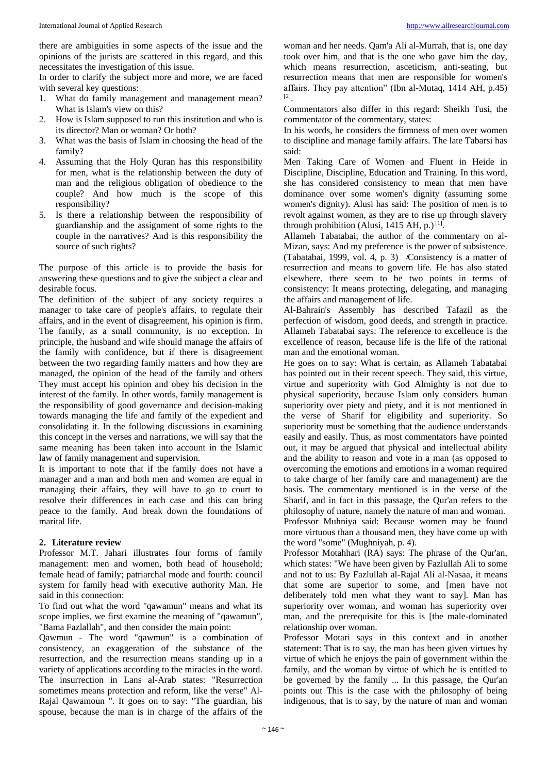there are ambiguities in some aspects of the issue and the opinions of the jurists are scattered in this regard, and this necessitates the investigation of this issue.

In order to clarify the subject more and more, we are faced with several key questions:

- 1. What do family management and management mean? What is Islam's view on this?
- 2. How is Islam supposed to run this institution and who is its director? Man or woman? Or both?
- 3. What was the basis of Islam in choosing the head of the family?
- 4. Assuming that the Holy Quran has this responsibility for men, what is the relationship between the duty of man and the religious obligation of obedience to the couple? And how much is the scope of this responsibility?
- 5. Is there a relationship between the responsibility of guardianship and the assignment of some rights to the couple in the narratives? And is this responsibility the source of such rights?

The purpose of this article is to provide the basis for answering these questions and to give the subject a clear and desirable focus.

The definition of the subject of any society requires a manager to take care of people's affairs, to regulate their affairs, and in the event of disagreement, his opinion is firm. The family, as a small community, is no exception. In principle, the husband and wife should manage the affairs of the family with confidence, but if there is disagreement between the two regarding family matters and how they are managed, the opinion of the head of the family and others They must accept his opinion and obey his decision in the interest of the family. In other words, family management is the responsibility of good governance and decision-making towards managing the life and family of the expedient and consolidating it. In the following discussions in examining this concept in the verses and narrations, we will say that the same meaning has been taken into account in the Islamic law of family management and supervision.

It is important to note that if the family does not have a manager and a man and both men and women are equal in managing their affairs, they will have to go to court to resolve their differences in each case and this can bring peace to the family. And break down the foundations of marital life.

#### **2. Literature review**

Professor M.T. Jahari illustrates four forms of family management: men and women, both head of household; female head of family; patriarchal mode and fourth: council system for family head with executive authority Man. He said in this connection:

To find out what the word "qawamun" means and what its scope implies, we first examine the meaning of "qawamun", "Bama Fazlallah", and then consider the main point:

Qawmun - The word "qawmun" is a combination of consistency, an exaggeration of the substance of the resurrection, and the resurrection means standing up in a variety of applications according to the miracles in the word. The insurrection in Lans al-Arab states: "Resurrection sometimes means protection and reform, like the verse" Al-Rajal Qawamoun ". It goes on to say: "The guardian, his spouse, because the man is in charge of the affairs of the

woman and her needs. Qam'a Ali al-Murrah, that is, one day took over him, and that is the one who gave him the day, which means resurrection, asceticism, anti-seating, but resurrection means that men are responsible for women's affairs. They pay attention" (Ibn al-Mutaq, 1414 AH, p.45) [2] .

Commentators also differ in this regard: Sheikh Tusi, the commentator of the commentary, states:

In his words, he considers the firmness of men over women to discipline and manage family affairs. The late Tabarsi has said:

Men Taking Care of Women and Fluent in Heide in Discipline, Discipline, Education and Training. In this word, she has considered consistency to mean that men have dominance over some women's dignity (assuming some women's dignity). Alusi has said: The position of men is to revolt against women, as they are to rise up through slavery through prohibition (Alusi, 1415 AH, p.)<sup>[1]</sup>.

Allameh Tabatabai, the author of the commentary on al-Mizan, says: And my preference is the power of subsistence. (Tabatabai, 1999, vol. 4, p. 3) **؛**Consistency is a matter of resurrection and means to govern life. He has also stated elsewhere, there seem to be two points in terms of consistency: It means protecting, delegating, and managing the affairs and management of life.

Al-Bahrain's Assembly has described Tafazil as the perfection of wisdom, good deeds, and strength in practice. Allameh Tabatabai says: The reference to excellence is the excellence of reason, because life is the life of the rational man and the emotional woman.

He goes on to say: What is certain, as Allameh Tabatabai has pointed out in their recent speech. They said, this virtue, virtue and superiority with God Almighty is not due to physical superiority, because Islam only considers human superiority over piety and piety, and it is not mentioned in the verse of Sharif for eligibility and superiority. So superiority must be something that the audience understands easily and easily. Thus, as most commentators have pointed out, it may be argued that physical and intellectual ability and the ability to reason and vote in a man (as opposed to overcoming the emotions and emotions in a woman required to take charge of her family care and management) are the basis. The commentary mentioned is in the verse of the Sharif, and in fact in this passage, the Qur'an refers to the philosophy of nature, namely the nature of man and woman. Professor Muhniya said: Because women may be found more virtuous than a thousand men, they have come up with the word "some" (Mughniyah, p. 4).

Professor Motahhari (RA) says: The phrase of the Qur'an, which states: "We have been given by Fazlullah Ali to some and not to us: By Fazlullah al-Rajal Ali al-Nasaa, it means that some are superior to some, and [men have not deliberately told men what they want to say]. Man has superiority over woman, and woman has superiority over man, and the prerequisite for this is [the male-dominated relationship over woman.

Professor Motari says in this context and in another statement: That is to say, the man has been given virtues by virtue of which he enjoys the pain of government within the family, and the woman by virtue of which he is entitled to be governed by the family ... In this passage, the Qur'an points out This is the case with the philosophy of being indigenous, that is to say, by the nature of man and woman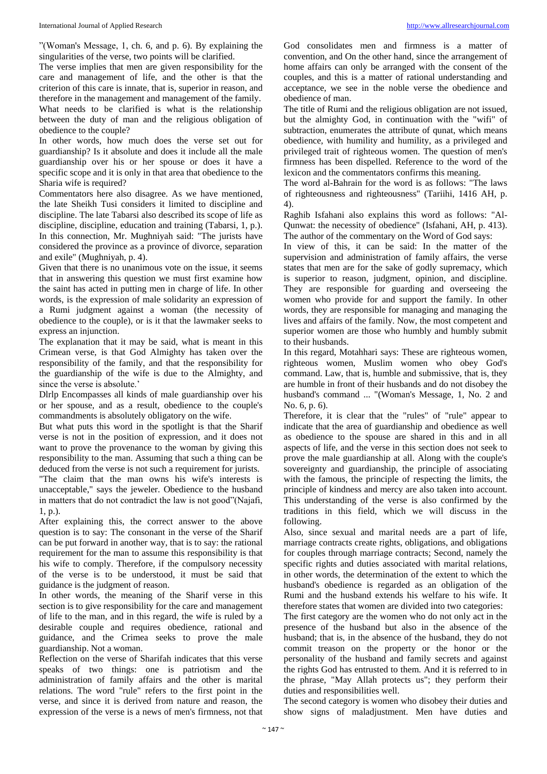"(Woman's Message, 1, ch. 6, and p. 6). By explaining the singularities of the verse, two points will be clarified.

The verse implies that men are given responsibility for the care and management of life, and the other is that the criterion of this care is innate, that is, superior in reason, and therefore in the management and management of the family. What needs to be clarified is what is the relationship between the duty of man and the religious obligation of obedience to the couple?

In other words, how much does the verse set out for guardianship? Is it absolute and does it include all the male guardianship over his or her spouse or does it have a specific scope and it is only in that area that obedience to the Sharia wife is required?

Commentators here also disagree. As we have mentioned, the late Sheikh Tusi considers it limited to discipline and discipline. The late Tabarsi also described its scope of life as discipline, discipline, education and training (Tabarsi, 1, p.). In this connection, Mr. Mughniyah said: "The jurists have considered the province as a province of divorce, separation and exile" (Mughniyah, p. 4).

Given that there is no unanimous vote on the issue, it seems that in answering this question we must first examine how the saint has acted in putting men in charge of life. In other words, is the expression of male solidarity an expression of a Rumi judgment against a woman (the necessity of obedience to the couple), or is it that the lawmaker seeks to express an injunction.

The explanation that it may be said, what is meant in this Crimean verse, is that God Almighty has taken over the responsibility of the family, and that the responsibility for the guardianship of the wife is due to the Almighty, and since the verse is absolute.'

Dlrlp Encompasses all kinds of male guardianship over his or her spouse, and as a result, obedience to the couple's commandments is absolutely obligatory on the wife.

But what puts this word in the spotlight is that the Sharif verse is not in the position of expression, and it does not want to prove the provenance to the woman by giving this responsibility to the man. Assuming that such a thing can be deduced from the verse is not such a requirement for jurists. "The claim that the man owns his wife's interests is

unacceptable," says the jeweler. Obedience to the husband in matters that do not contradict the law is not good"(Najafi, 1, p.).

After explaining this, the correct answer to the above question is to say: The consonant in the verse of the Sharif can be put forward in another way, that is to say: the rational requirement for the man to assume this responsibility is that his wife to comply. Therefore, if the compulsory necessity of the verse is to be understood, it must be said that guidance is the judgment of reason.

In other words, the meaning of the Sharif verse in this section is to give responsibility for the care and management of life to the man, and in this regard, the wife is ruled by a desirable couple and requires obedience, rational and guidance, and the Crimea seeks to prove the male guardianship. Not a woman.

Reflection on the verse of Sharifah indicates that this verse speaks of two things: one is patriotism and the administration of family affairs and the other is marital relations. The word "rule" refers to the first point in the verse, and since it is derived from nature and reason, the expression of the verse is a news of men's firmness, not that God consolidates men and firmness is a matter of convention, and On the other hand, since the arrangement of home affairs can only be arranged with the consent of the couples, and this is a matter of rational understanding and acceptance, we see in the noble verse the obedience and obedience of man.

The title of Rumi and the religious obligation are not issued, but the almighty God, in continuation with the "wifi" of subtraction, enumerates the attribute of qunat, which means obedience, with humility and humility, as a privileged and privileged trait of righteous women. The question of men's firmness has been dispelled. Reference to the word of the lexicon and the commentators confirms this meaning.

The word al-Bahrain for the word is as follows: "The laws of righteousness and righteousness" (Tariihi, 1416 AH, p. 4).

Raghib Isfahani also explains this word as follows: "Al-Qunwat: the necessity of obedience" (Isfahani, AH, p. 413). The author of the commentary on the Word of God says:

In view of this, it can be said: In the matter of the supervision and administration of family affairs, the verse states that men are for the sake of godly supremacy, which is superior to reason, judgment, opinion, and discipline. They are responsible for guarding and overseeing the women who provide for and support the family. In other words, they are responsible for managing and managing the lives and affairs of the family. Now, the most competent and superior women are those who humbly and humbly submit to their husbands.

In this regard, Motahhari says: These are righteous women, righteous women, Muslim women who obey God's command. Law, that is, humble and submissive, that is, they are humble in front of their husbands and do not disobey the husband's command ... "(Woman's Message, 1, No. 2 and No. 6, p. 6).

Therefore, it is clear that the "rules" of "rule" appear to indicate that the area of guardianship and obedience as well as obedience to the spouse are shared in this and in all aspects of life, and the verse in this section does not seek to prove the male guardianship at all. Along with the couple's sovereignty and guardianship, the principle of associating with the famous, the principle of respecting the limits, the principle of kindness and mercy are also taken into account. This understanding of the verse is also confirmed by the traditions in this field, which we will discuss in the following.

Also, since sexual and marital needs are a part of life, marriage contracts create rights, obligations, and obligations for couples through marriage contracts; Second, namely the specific rights and duties associated with marital relations, in other words, the determination of the extent to which the husband's obedience is regarded as an obligation of the Rumi and the husband extends his welfare to his wife. It therefore states that women are divided into two categories:

The first category are the women who do not only act in the presence of the husband but also in the absence of the husband; that is, in the absence of the husband, they do not commit treason on the property or the honor or the personality of the husband and family secrets and against the rights God has entrusted to them. And it is referred to in the phrase, "May Allah protects us"; they perform their duties and responsibilities well.

The second category is women who disobey their duties and show signs of maladjustment. Men have duties and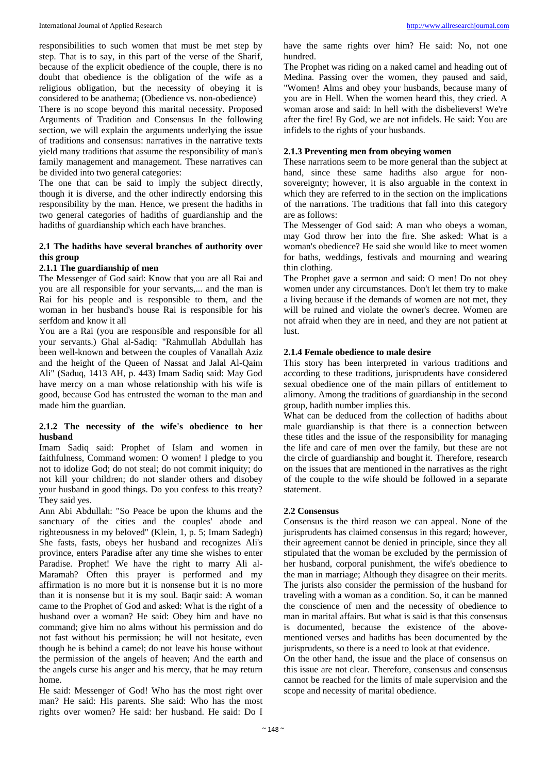responsibilities to such women that must be met step by step. That is to say, in this part of the verse of the Sharif, because of the explicit obedience of the couple, there is no doubt that obedience is the obligation of the wife as a religious obligation, but the necessity of obeying it is considered to be anathema; (Obedience vs. non-obedience)

There is no scope beyond this marital necessity. Proposed Arguments of Tradition and Consensus In the following section, we will explain the arguments underlying the issue of traditions and consensus: narratives in the narrative texts yield many traditions that assume the responsibility of man's family management and management. These narratives can be divided into two general categories:

The one that can be said to imply the subject directly, though it is diverse, and the other indirectly endorsing this responsibility by the man. Hence, we present the hadiths in two general categories of hadiths of guardianship and the hadiths of guardianship which each have branches.

#### **2.1 The hadiths have several branches of authority over this group**

#### **2.1.1 The guardianship of men**

The Messenger of God said: Know that you are all Rai and you are all responsible for your servants,... and the man is Rai for his people and is responsible to them, and the woman in her husband's house Rai is responsible for his serfdom and know it all

You are a Rai (you are responsible and responsible for all your servants.) Ghal al-Sadiq: "Rahmullah Abdullah has been well-known and between the couples of Vanallah Aziz and the height of the Queen of Nassat and Jalal Al-Qaim Ali" (Saduq, 1413 AH, p. 443) Imam Sadiq said: May God have mercy on a man whose relationship with his wife is good, because God has entrusted the woman to the man and made him the guardian.

#### **2.1.2 The necessity of the wife's obedience to her husband**

Imam Sadiq said: Prophet of Islam and women in faithfulness, Command women: O women! I pledge to you not to idolize God; do not steal; do not commit iniquity; do not kill your children; do not slander others and disobey your husband in good things. Do you confess to this treaty? They said yes.

Ann Abi Abdullah: "So Peace be upon the khums and the sanctuary of the cities and the couples' abode and righteousness in my beloved" (Klein, 1, p. 5; Imam Sadegh) She fasts, fasts, obeys her husband and recognizes Ali's province, enters Paradise after any time she wishes to enter Paradise. Prophet! We have the right to marry Ali al-Maramah? Often this prayer is performed and my affirmation is no more but it is nonsense but it is no more than it is nonsense but it is my soul. Baqir said: A woman came to the Prophet of God and asked: What is the right of a husband over a woman? He said: Obey him and have no command; give him no alms without his permission and do not fast without his permission; he will not hesitate, even though he is behind a camel; do not leave his house without the permission of the angels of heaven; And the earth and the angels curse his anger and his mercy, that he may return home.

He said: Messenger of God! Who has the most right over man? He said: His parents. She said: Who has the most rights over women? He said: her husband. He said: Do I

have the same rights over him? He said: No, not one hundred.

The Prophet was riding on a naked camel and heading out of Medina. Passing over the women, they paused and said, "Women! Alms and obey your husbands, because many of you are in Hell. When the women heard this, they cried. A woman arose and said: In hell with the disbelievers! We're after the fire! By God, we are not infidels. He said: You are infidels to the rights of your husbands.

#### **2.1.3 Preventing men from obeying women**

These narrations seem to be more general than the subject at hand, since these same hadiths also argue for nonsovereignty; however, it is also arguable in the context in which they are referred to in the section on the implications of the narrations. The traditions that fall into this category are as follows:

The Messenger of God said: A man who obeys a woman, may God throw her into the fire. She asked: What is a woman's obedience? He said she would like to meet women for baths, weddings, festivals and mourning and wearing thin clothing.

The Prophet gave a sermon and said: O men! Do not obey women under any circumstances. Don't let them try to make a living because if the demands of women are not met, they will be ruined and violate the owner's decree. Women are not afraid when they are in need, and they are not patient at lust.

#### **2.1.4 Female obedience to male desire**

This story has been interpreted in various traditions and according to these traditions, jurisprudents have considered sexual obedience one of the main pillars of entitlement to alimony. Among the traditions of guardianship in the second group, hadith number implies this.

What can be deduced from the collection of hadiths about male guardianship is that there is a connection between these titles and the issue of the responsibility for managing the life and care of men over the family, but these are not the circle of guardianship and bought it. Therefore, research on the issues that are mentioned in the narratives as the right of the couple to the wife should be followed in a separate statement.

#### **2.2 Consensus**

Consensus is the third reason we can appeal. None of the jurisprudents has claimed consensus in this regard; however, their agreement cannot be denied in principle, since they all stipulated that the woman be excluded by the permission of her husband, corporal punishment, the wife's obedience to the man in marriage; Although they disagree on their merits. The jurists also consider the permission of the husband for traveling with a woman as a condition. So, it can be manned the conscience of men and the necessity of obedience to man in marital affairs. But what is said is that this consensus is documented, because the existence of the abovementioned verses and hadiths has been documented by the jurisprudents, so there is a need to look at that evidence.

On the other hand, the issue and the place of consensus on this issue are not clear. Therefore, consensus and consensus cannot be reached for the limits of male supervision and the scope and necessity of marital obedience.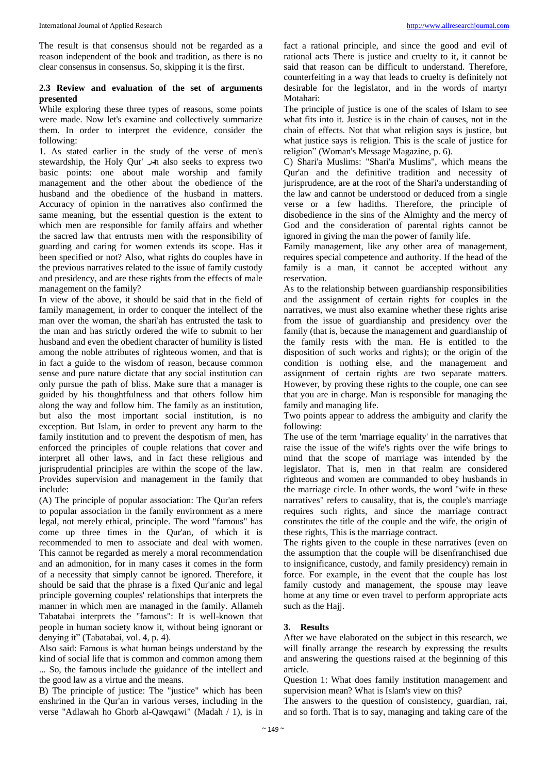The result is that consensus should not be regarded as a reason independent of the book and tradition, as there is no clear consensus in consensus. So, skipping it is the first.

### **2.3 Review and evaluation of the set of arguments presented**

While exploring these three types of reasons, some points were made. Now let's examine and collectively summarize them. In order to interpret the evidence, consider the following:

1. As stated earlier in the study of the verse of men's stewardship, the Holy Qur' **در**n also seeks to express two basic points: one about male worship and family management and the other about the obedience of the husband and the obedience of the husband in matters. Accuracy of opinion in the narratives also confirmed the same meaning, but the essential question is the extent to which men are responsible for family affairs and whether the sacred law that entrusts men with the responsibility of guarding and caring for women extends its scope. Has it been specified or not? Also, what rights do couples have in the previous narratives related to the issue of family custody and presidency, and are these rights from the effects of male management on the family?

In view of the above, it should be said that in the field of family management, in order to conquer the intellect of the man over the woman, the shari'ah has entrusted the task to the man and has strictly ordered the wife to submit to her husband and even the obedient character of humility is listed among the noble attributes of righteous women, and that is in fact a guide to the wisdom of reason, because common sense and pure nature dictate that any social institution can only pursue the path of bliss. Make sure that a manager is guided by his thoughtfulness and that others follow him along the way and follow him. The family as an institution, but also the most important social institution, is no exception. But Islam, in order to prevent any harm to the family institution and to prevent the despotism of men, has enforced the principles of couple relations that cover and interpret all other laws, and in fact these religious and jurisprudential principles are within the scope of the law. Provides supervision and management in the family that include:

(A) The principle of popular association: The Qur'an refers to popular association in the family environment as a mere legal, not merely ethical, principle. The word "famous" has come up three times in the Qur'an, of which it is recommended to men to associate and deal with women. This cannot be regarded as merely a moral recommendation and an admonition, for in many cases it comes in the form of a necessity that simply cannot be ignored. Therefore, it should be said that the phrase is a fixed Qur'anic and legal principle governing couples' relationships that interprets the manner in which men are managed in the family. Allameh Tabatabai interprets the "famous": It is well-known that people in human society know it, without being ignorant or denying it" (Tabatabai, vol. 4, p. 4).

Also said: Famous is what human beings understand by the kind of social life that is common and common among them ... So, the famous include the guidance of the intellect and the good law as a virtue and the means.

B) The principle of justice: The "justice" which has been enshrined in the Qur'an in various verses, including in the verse "Adlawah ho Ghorb al-Qawqawi" (Madah / 1), is in fact a rational principle, and since the good and evil of rational acts There is justice and cruelty to it, it cannot be said that reason can be difficult to understand. Therefore, counterfeiting in a way that leads to cruelty is definitely not desirable for the legislator, and in the words of martyr Motahari:

The principle of justice is one of the scales of Islam to see what fits into it. Justice is in the chain of causes, not in the chain of effects. Not that what religion says is justice, but what justice says is religion. This is the scale of justice for religion" (Woman's Message Magazine, p. 6).

C) Shari'a Muslims: "Shari'a Muslims", which means the Qur'an and the definitive tradition and necessity of jurisprudence, are at the root of the Shari'a understanding of the law and cannot be understood or deduced from a single verse or a few hadiths. Therefore, the principle of disobedience in the sins of the Almighty and the mercy of God and the consideration of parental rights cannot be ignored in giving the man the power of family life.

Family management, like any other area of management, requires special competence and authority. If the head of the family is a man, it cannot be accepted without any reservation.

As to the relationship between guardianship responsibilities and the assignment of certain rights for couples in the narratives, we must also examine whether these rights arise from the issue of guardianship and presidency over the family (that is, because the management and guardianship of the family rests with the man. He is entitled to the disposition of such works and rights); or the origin of the condition is nothing else, and the management and assignment of certain rights are two separate matters. However, by proving these rights to the couple, one can see that you are in charge. Man is responsible for managing the family and managing life.

Two points appear to address the ambiguity and clarify the following:

The use of the term 'marriage equality' in the narratives that raise the issue of the wife's rights over the wife brings to mind that the scope of marriage was intended by the legislator. That is, men in that realm are considered righteous and women are commanded to obey husbands in the marriage circle. In other words, the word "wife in these narratives" refers to causality, that is, the couple's marriage requires such rights, and since the marriage contract constitutes the title of the couple and the wife, the origin of these rights, This is the marriage contract.

The rights given to the couple in these narratives (even on the assumption that the couple will be disenfranchised due to insignificance, custody, and family presidency) remain in force. For example, in the event that the couple has lost family custody and management, the spouse may leave home at any time or even travel to perform appropriate acts such as the Hajj.

#### **3. Results**

After we have elaborated on the subject in this research, we will finally arrange the research by expressing the results and answering the questions raised at the beginning of this article.

Question 1: What does family institution management and supervision mean? What is Islam's view on this?

The answers to the question of consistency, guardian, rai, and so forth. That is to say, managing and taking care of the